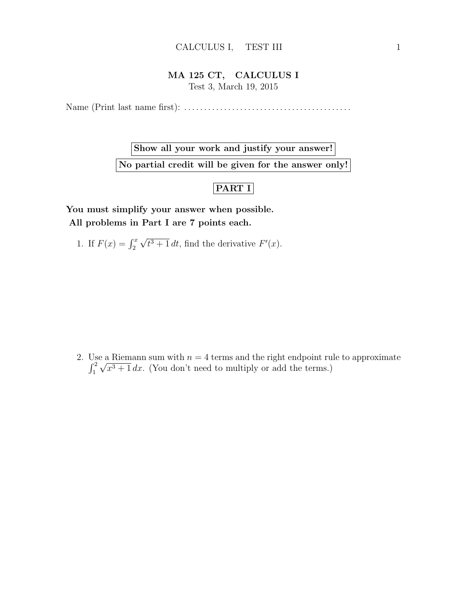## MA 125 CT, CALCULUS I Test 3, March 19, 2015

Name (Print last name first): . . . . . . . . . . . . . . . . . . . . . . . . . . . . . . . . . . . . . . . . . .

Show all your work and justify your answer! No partial credit will be given for the answer only!

## $|$ PART I $|$

You must simplify your answer when possible. All problems in Part I are 7 points each.

1. If  $F(x) = \int_2^x$ √  $\overline{t^3+1} dt$ , find the derivative  $F'(x)$ .

2. Use a Riemann sum with  $n = 4$  terms and the right endpoint rule to approximate  $\int_1^2$ √  $x^3 + 1 dx$ . (You don't need to multiply or add the terms.)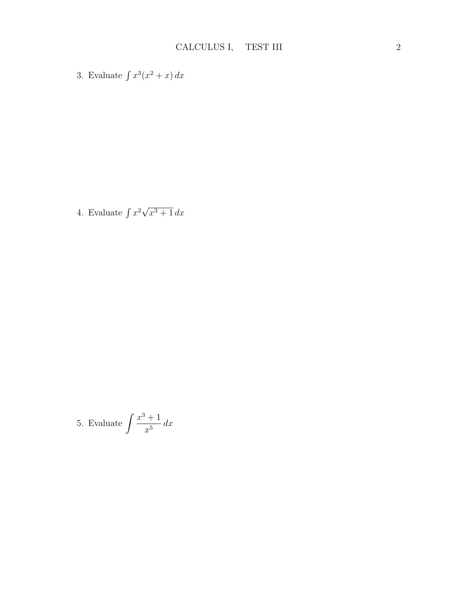3. Evaluate  $\int x^3(x^2 + x) dx$ 

4. Evaluate  $\int x^2 \sqrt{ }$  $\overline{x^3+1} dx$ 

5. Evaluate 
$$
\int \frac{x^3 + 1}{x^5} dx
$$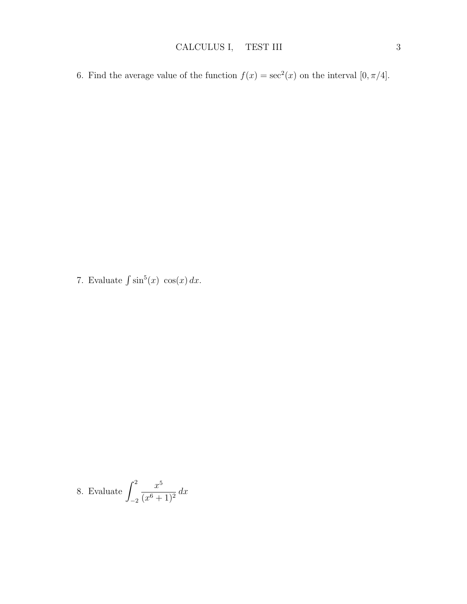6. Find the average value of the function  $f(x) = \sec^2(x)$  on the interval  $[0, \pi/4]$ .

7. Evaluate  $\int \sin^5(x) \cos(x) dx$ .

8. Evaluate 
$$
\int_{-2}^{2} \frac{x^5}{(x^6+1)^2} dx
$$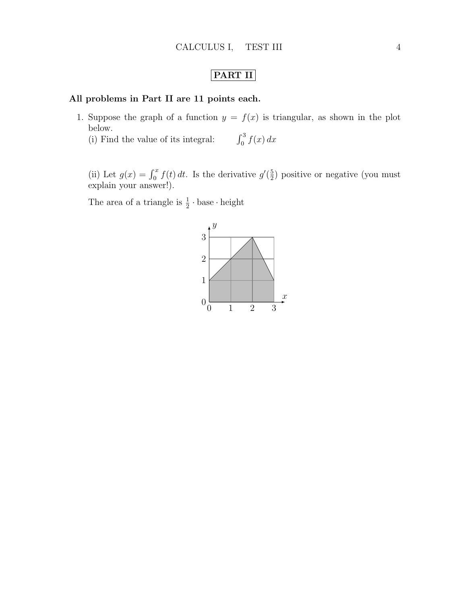## PART II

## All problems in Part II are 11 points each.

1. Suppose the graph of a function  $y = f(x)$  is triangular, as shown in the plot below.

 $(i)$  Find the value of its integral:  $\int_0^3 f(x) dx$ 

(ii) Let  $g(x) = \int_0^x f(t) dt$ . Is the derivative  $g'(\frac{5}{2})$  $\frac{5}{2}$ ) positive or negative (you must explain your answer!).

The area of a triangle is  $\frac{1}{2} \cdot \text{base} \cdot \text{height}$ 

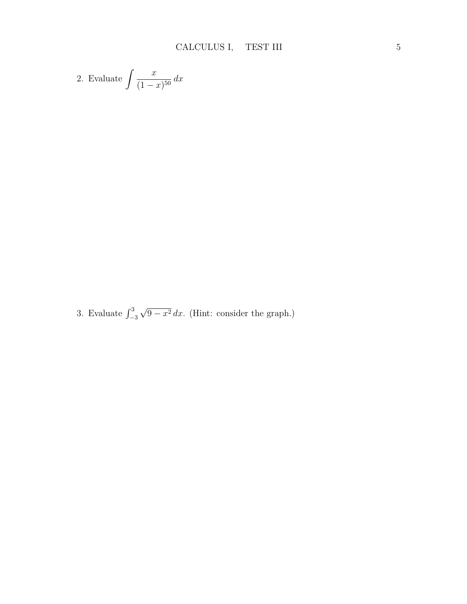2. Evaluate 
$$
\int \frac{x}{(1-x)^{50}} dx
$$

3. Evaluate  $\int_{-3}^{3}$ √  $9 - x^2 dx$ . (Hint: consider the graph.)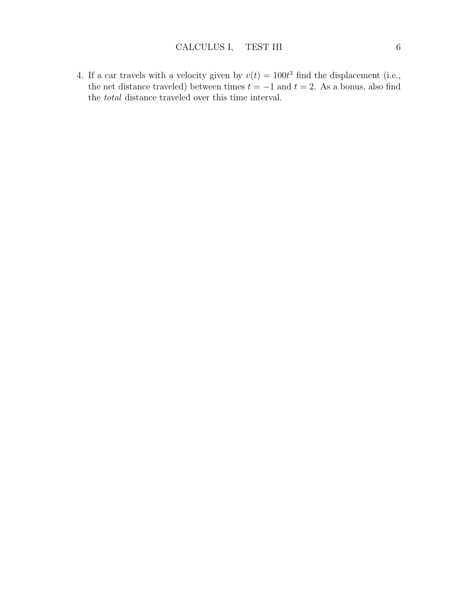4. If a car travels with a velocity given by  $v(t) = 100t^3$  find the displacement (i.e., the net distance traveled) between times  $t = -1$  and  $t = 2$ . As a bonus, also find the total distance traveled over this time interval.